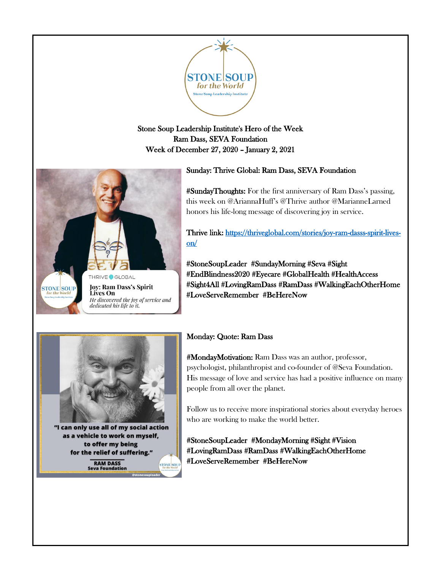

Stone Soup Leadership Institute's Hero of the Week Ram Dass, SEVA Foundation Week of December 27, 2020 – January 2, 2021

### Sunday: Thrive Global: Ram Dass, SEVA Foundation

#SundayThoughts: For the first anniversary of Ram Dass's passing, this week on @AriannaHuff's @Thrive author @MarianneLarned honors his life-long message of discovering joy in service.

Thrive link: [https://thriveglobal.com/stories/joy-ram-dasss-spirit-lives](https://thriveglobal.com/stories/joy-ram-dasss-spirit-lives-on/)[on/](https://thriveglobal.com/stories/joy-ram-dasss-spirit-lives-on/) 

#StoneSoupLeader #SundayMorning #Seva #Sight #EndBlindness2020 #Eyecare #GlobalHealth #HealthAccess #Sight4All #LovingRamDass #RamDass #WalkingEachOtherHome #LoveServeRemember #BeHereNow



THRIVE<sup>O</sup>GLOBAL **Jov: Ram Dass's Spirit** 

dedicated his life to it.

He discovered the joy of service and

Lives On

**STONE SOUP** 

for the World

"I can only use all of my social action as a vehicle to work on myself, to offer my being for the relief of suffering." **RAM DASS TONE** SO **Seva Foundation** 

# Monday: Quote: Ram Dass

#MondayMotivation: Ram Dass was an author, professor, psychologist, philanthropist and co-founder of @Seva Foundation. His message of love and service has had a positive influence on many people from all over the planet.

Follow us to receive more inspirational stories about everyday heroes who are working to make the world better.

#StoneSoupLeader #MondayMorning #Sight #Vision #LovingRamDass #RamDass #WalkingEachOtherHome #LoveServeRemember #BeHereNow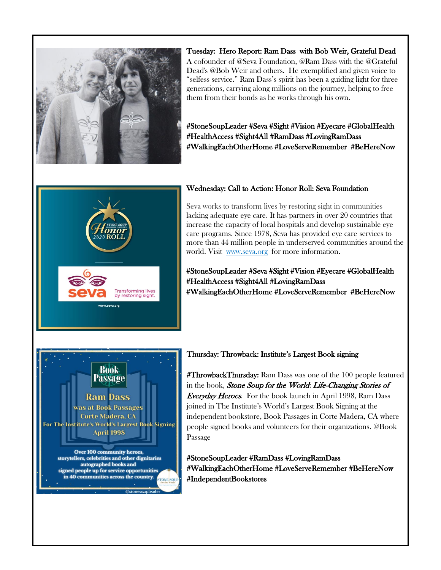

Tuesday: Hero Report: Ram Dass with Bob Weir, Grateful Dead A cofounder of @Seva Foundation, @Ram Dass with the @Grateful Dead's @Bob Weir and others. He exemplified and given voice to "selfess service." Ram Dass's spirit has been a guiding light for three generations, carrying along millions on the journey, helping to free them from their bonds as he works through his own.

#StoneSoupLeader #Seva #Sight #Vision #Eyecare #GlobalHealth #HealthAccess #Sight4All #RamDass #LovingRamDass #WalkingEachOtherHome #LoveServeRemember #BeHereNow



### Wednesday: Call to Action: Honor Roll: Seva Foundation

Seva works to transform lives by restoring sight in communities lacking adequate eye care. It has partners in over 20 countries that increase the capacity of local hospitals and develop sustainable eye care programs. Since 1978, Seva has provided eye care services to more than 44 million people in underserved communities around the world. Visit [www.seva.org](http://www.seva.org/) for more information.

#StoneSoupLeader #Seva #Sight #Vision #Eyecare #GlobalHealth #HealthAccess #Sight4All #LovingRamDass #WalkingEachOtherHome #LoveServeRemember #BeHereNow



#### Thursday: Throwback: Institute's Largest Book signing

**#ThrowbackThursday:** Ram Dass was one of the 100 people featured in the book, Stone Soup for the World: Life-Changing Stories of Everyday Heroes. For the book launch in April 1998, Ram Dass joined in The Institute's World's Largest Book Signing at the independent bookstore, Book Passages in Corte Madera, CA where people signed books and volunteers for their organizations. @Book Passage

#StoneSoupLeader #RamDass #LovingRamDass #WalkingEachOtherHome #LoveServeRemember #BeHereNow #IndependentBookstores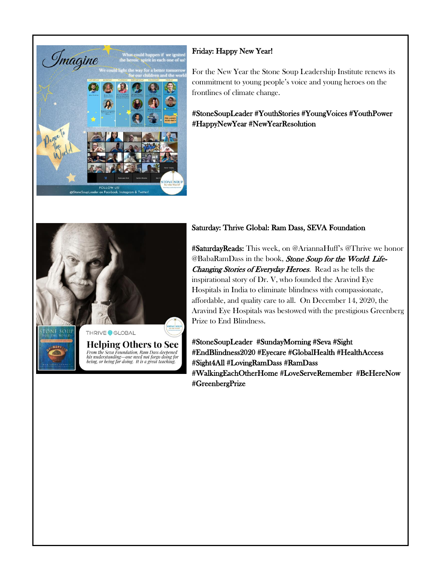

## Friday: Happy New Year!

For the New Year the Stone Soup Leadership Institute renews its commitment to young people's voice and young heroes on the frontlines of climate change.

#StoneSoupLeader #YouthStories #YoungVoices #YouthPower #HappyNewYear #NewYearResolution



**Helping Others to See** From the Seva Foundation, Ram Dass deepened<br>his understanding—one need not forgo doing for<br>being, or being for doing. It is a great teaching.

### Saturday: Thrive Global: Ram Dass, SEVA Foundation

#SaturdayReads: This week, on @AriannaHuff's @Thrive we honor @BabaRamDass in the book, Stone Soup for the World: Life-Changing Stories of Everyday Heroes. Read as he tells the inspirational story of Dr. V, who founded the Aravind Eye Hospitals in India to eliminate blindness with compassionate, affordable, and quality care to all. On December 14, 2020, the Aravind Eye Hospitals was bestowed with the prestigious Greenberg Prize to End Blindness.

#StoneSoupLeader #SundayMorning #Seva #Sight #EndBlindness2020 #Eyecare #GlobalHealth #HealthAccess #Sight4All #LovingRamDass #RamDass #WalkingEachOtherHome #LoveServeRemember #BeHereNow #GreenbergPrize